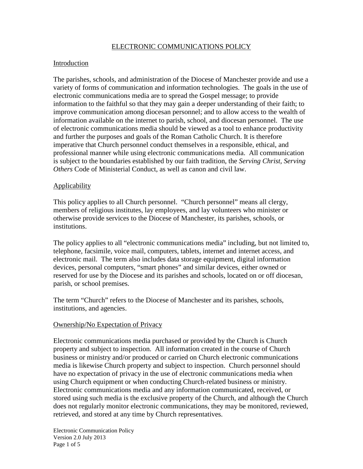## ELECTRONIC COMMUNICATIONS POLICY

## Introduction

The parishes, schools, and administration of the Diocese of Manchester provide and use a variety of forms of communication and information technologies. The goals in the use of electronic communications media are to spread the Gospel message; to provide information to the faithful so that they may gain a deeper understanding of their faith; to improve communication among diocesan personnel; and to allow access to the wealth of information available on the internet to parish, school, and diocesan personnel. The use of electronic communications media should be viewed as a tool to enhance productivity and further the purposes and goals of the Roman Catholic Church. It is therefore imperative that Church personnel conduct themselves in a responsible, ethical, and professional manner while using electronic communications media. All communication is subject to the boundaries established by our faith tradition, the *Serving Christ, Serving Others* Code of Ministerial Conduct, as well as canon and civil law.

## Applicability

This policy applies to all Church personnel. "Church personnel" means all clergy, members of religious institutes, lay employees, and lay volunteers who minister or otherwise provide services to the Diocese of Manchester, its parishes, schools, or institutions.

The policy applies to all "electronic communications media" including, but not limited to, telephone, facsimile, voice mail, computers, tablets, internet and internet access, and electronic mail. The term also includes data storage equipment, digital information devices, personal computers, "smart phones" and similar devices, either owned or reserved for use by the Diocese and its parishes and schools, located on or off diocesan, parish, or school premises.

The term "Church" refers to the Diocese of Manchester and its parishes, schools, institutions, and agencies.

#### Ownership/No Expectation of Privacy

Electronic communications media purchased or provided by the Church is Church property and subject to inspection. All information created in the course of Church business or ministry and/or produced or carried on Church electronic communications media is likewise Church property and subject to inspection. Church personnel should have no expectation of privacy in the use of electronic communications media when using Church equipment or when conducting Church-related business or ministry. Electronic communications media and any information communicated, received, or stored using such media is the exclusive property of the Church, and although the Church does not regularly monitor electronic communications, they may be monitored, reviewed, retrieved, and stored at any time by Church representatives.

Electronic Communication Policy Version 2.0 July 2013 Page 1 of 5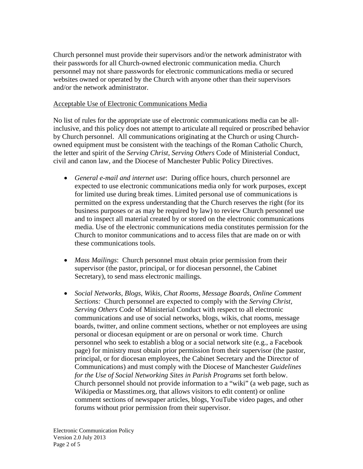Church personnel must provide their supervisors and/or the network administrator with their passwords for all Church-owned electronic communication media. Church personnel may not share passwords for electronic communications media or secured websites owned or operated by the Church with anyone other than their supervisors and/or the network administrator.

### Acceptable Use of Electronic Communications Media

No list of rules for the appropriate use of electronic communications media can be allinclusive, and this policy does not attempt to articulate all required or proscribed behavior by Church personnel. All communications originating at the Church or using Churchowned equipment must be consistent with the teachings of the Roman Catholic Church, the letter and spirit of the *Serving Christ, Serving Others* Code of Ministerial Conduct, civil and canon law, and the Diocese of Manchester Public Policy Directives.

- *General e-mail and internet use*: During office hours, church personnel are expected to use electronic communications media only for work purposes, except for limited use during break times. Limited personal use of communications is permitted on the express understanding that the Church reserves the right (for its business purposes or as may be required by law) to review Church personnel use and to inspect all material created by or stored on the electronic communications media. Use of the electronic communications media constitutes permission for the Church to monitor communications and to access files that are made on or with these communications tools.
- *Mass Mailings*: Church personnel must obtain prior permission from their supervisor (the pastor, principal, or for diocesan personnel, the Cabinet Secretary), to send mass electronic mailings.
- *Social Networks, Blogs, Wikis, Chat Rooms, Message Boards, Online Comment Sections:* Church personnel are expected to comply with the *Serving Christ, Serving Others* Code of Ministerial Conduct with respect to all electronic communications and use of social networks, blogs, wikis, chat rooms, message boards, twitter, and online comment sections, whether or not employees are using personal or diocesan equipment or are on personal or work time. Church personnel who seek to establish a blog or a social network site (e.g., a Facebook page) for ministry must obtain prior permission from their supervisor (the pastor, principal, or for diocesan employees, the Cabinet Secretary and the Director of Communications) and must comply with the Diocese of Manchester *Guidelines for the Use of Social Networking Sites in Parish Programs* set forth below. Church personnel should not provide information to a "wiki" (a web page, such as Wikipedia or Masstimes.org, that allows visitors to edit content) or online comment sections of newspaper articles, blogs, YouTube video pages, and other forums without prior permission from their supervisor.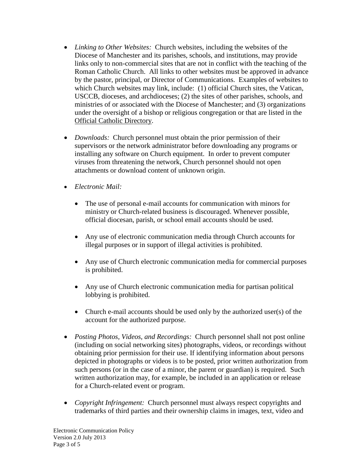- *Linking to Other Websites:* Church websites, including the websites of the Diocese of Manchester and its parishes, schools, and institutions, may provide links only to non-commercial sites that are not in conflict with the teaching of the Roman Catholic Church. All links to other websites must be approved in advance by the pastor, principal, or Director of Communications. Examples of websites to which Church websites may link, include: (1) official Church sites, the Vatican, USCCB, dioceses, and archdioceses; (2) the sites of other parishes, schools, and ministries of or associated with the Diocese of Manchester; and (3) organizations under the oversight of a bishop or religious congregation or that are listed in the Official Catholic Directory.
- *Downloads:* Church personnel must obtain the prior permission of their supervisors or the network administrator before downloading any programs or installing any software on Church equipment. In order to prevent computer viruses from threatening the network, Church personnel should not open attachments or download content of unknown origin.
- *Electronic Mail:*
	- The use of personal e-mail accounts for communication with minors for ministry or Church-related business is discouraged. Whenever possible, official diocesan, parish, or school email accounts should be used.
	- Any use of electronic communication media through Church accounts for illegal purposes or in support of illegal activities is prohibited.
	- Any use of Church electronic communication media for commercial purposes is prohibited.
	- Any use of Church electronic communication media for partisan political lobbying is prohibited.
	- Church e-mail accounts should be used only by the authorized user(s) of the account for the authorized purpose.
- *Posting Photos, Videos, and Recordings:* Church personnel shall not post online (including on social networking sites) photographs, videos, or recordings without obtaining prior permission for their use. If identifying information about persons depicted in photographs or videos is to be posted, prior written authorization from such persons (or in the case of a minor, the parent or guardian) is required. Such written authorization may, for example, be included in an application or release for a Church-related event or program.
- *Copyright Infringement:* Church personnel must always respect copyrights and trademarks of third parties and their ownership claims in images, text, video and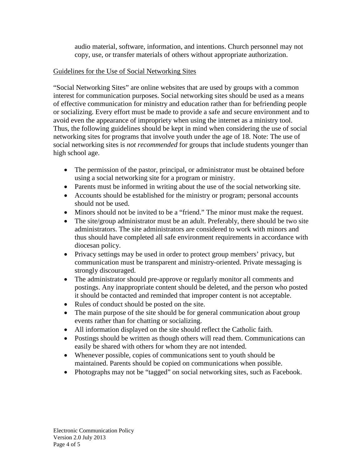audio material, software, information, and intentions. Church personnel may not copy, use, or transfer materials of others without appropriate authorization.

## Guidelines for the Use of Social Networking Sites

"Social Networking Sites" are online websites that are used by groups with a common interest for communication purposes. Social networking sites should be used as a means of effective communication for ministry and education rather than for befriending people or socializing. Every effort must be made to provide a safe and secure environment and to avoid even the appearance of impropriety when using the internet as a ministry tool. Thus, the following guidelines should be kept in mind when considering the use of social networking sites for programs that involve youth under the age of 18. Note: The use of social networking sites is *not recommended* for groups that include students younger than high school age.

- The permission of the pastor, principal, or administrator must be obtained before using a social networking site for a program or ministry.
- Parents must be informed in writing about the use of the social networking site.
- Accounts should be established for the ministry or program; personal accounts should not be used.
- Minors should not be invited to be a "friend." The minor must make the request.
- The site/group administrator must be an adult. Preferably, there should be two site administrators. The site administrators are considered to work with minors and thus should have completed all safe environment requirements in accordance with diocesan policy.
- Privacy settings may be used in order to protect group members' privacy, but communication must be transparent and ministry-oriented. Private messaging is strongly discouraged.
- The administrator should pre-approve or regularly monitor all comments and postings. Any inappropriate content should be deleted, and the person who posted it should be contacted and reminded that improper content is not acceptable.
- Rules of conduct should be posted on the site.
- The main purpose of the site should be for general communication about group events rather than for chatting or socializing.
- All information displayed on the site should reflect the Catholic faith.
- Postings should be written as though others will read them. Communications can easily be shared with others for whom they are not intended.
- Whenever possible, copies of communications sent to youth should be maintained. Parents should be copied on communications when possible.
- Photographs may not be "tagged" on social networking sites, such as Facebook.